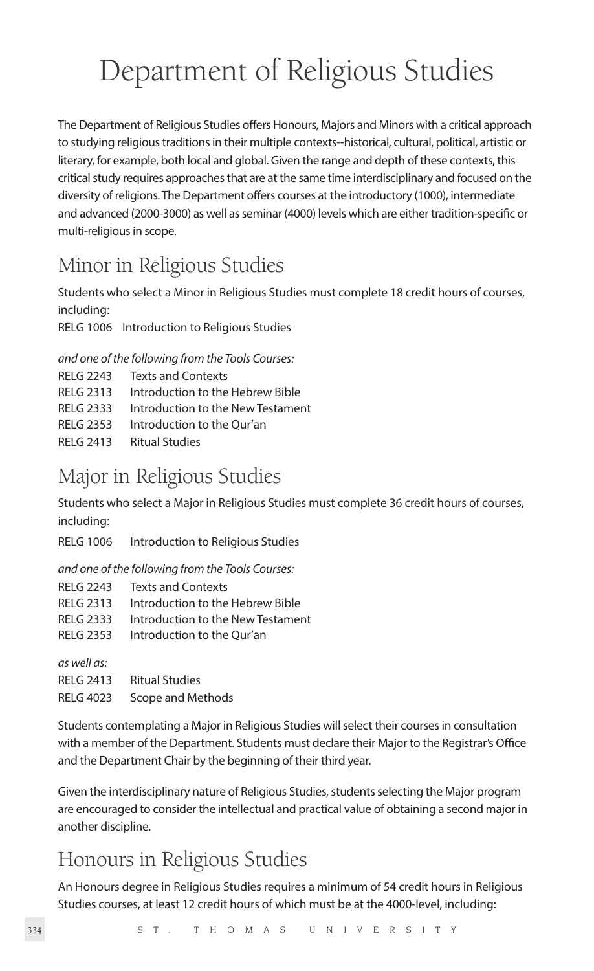# Department of Religious Studies

The Department of Religious Studies offers Honours, Majors and Minors with a critical approach to studying religious traditions in their multiple contexts--historical, cultural, political, artistic or literary, for example, both local and global. Given the range and depth of these contexts, this critical study requires approaches that are at the same time interdisciplinary and focused on the diversity of religions. The Department offers courses at the introductory (1000), intermediate and advanced (2000-3000) as well as seminar (4000) levels which are either tradition-specific or multi-religious in scope.

# Minor in Religious Studies

Students who select a Minor in Religious Studies must complete 18 credit hours of courses, including:

RELG 1006 Introduction to Religious Studies

*and one of the following from the Tools Courses:*

| RFI G 2243       | <b>Texts and Contexts</b>         |
|------------------|-----------------------------------|
| RFI G 2313       | Introduction to the Hebrew Bible  |
| RFI G 2333       | Introduction to the New Testament |
| <b>RELG 2353</b> | Introduction to the Our'an        |
| RFI G 2413       | <b>Ritual Studies</b>             |

# Major in Religious Studies

Students who select a Major in Religious Studies must complete 36 credit hours of courses, including:

RELG 1006 Introduction to Religious Studies

*and one of the following from the Tools Courses:*

|             | RELG 2243 Texts and Contexts      |
|-------------|-----------------------------------|
| RELG 2313   | Introduction to the Hebrew Bible  |
| RELG 2333   | Introduction to the New Testament |
| RELG 2353   | Introduction to the Our'an        |
| as well as: |                                   |

RELG 2413 Ritual Studies RELG 4023 Scope and Methods

Students contemplating a Major in Religious Studies will select their courses in consultation with a member of the Department. Students must declare their Major to the Registrar's Office and the Department Chair by the beginning of their third year.

Given the interdisciplinary nature of Religious Studies, students selecting the Major program are encouraged to consider the intellectual and practical value of obtaining a second major in another discipline.

# Honours in Religious Studies

An Honours degree in Religious Studies requires a minimum of 54 credit hours in Religious Studies courses, at least 12 credit hours of which must be at the 4000-level, including: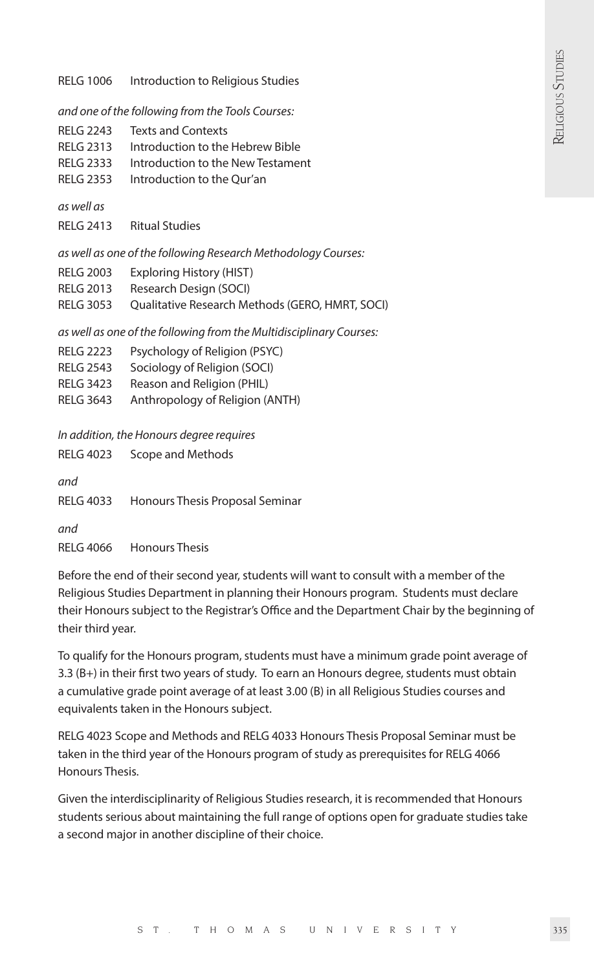RELG 1006 Introduction to Religious Studies

*and one of the following from the Tools Courses:*

- RELG 2243 Texts and Contexts
- RELG 2313 Introduction to the Hebrew Bible
- RELG 2333 Introduction to the New Testament
- RELG 2353 Introduction to the Qur'an

*as well as*

RELG 2413 Ritual Studies

*as well as one of the following Research Methodology Courses:* 

- RELG 2003 Exploring History (HIST)
- RELG 2013 Research Design (SOCI)
- RELG 3053 Qualitative Research Methods (GERO, HMRT, SOCI)

*as well as one of the following from the Multidisciplinary Courses:*

- RELG 2223 Psychology of Religion (PSYC)
- RELG 2543 Sociology of Religion (SOCI)
- RELG 3423 Reason and Religion (PHIL)
- RELG 3643 Anthropology of Religion (ANTH)

*In addition, the Honours degree requires*

RELG 4023 Scope and Methods *and* RELG 4033 Honours Thesis Proposal Seminar *and* RELG 4066 Honours Thesis

Before the end of their second year, students will want to consult with a member of the Religious Studies Department in planning their Honours program. Students must declare their Honours subject to the Registrar's Office and the Department Chair by the beginning of their third year.

To qualify for the Honours program, students must have a minimum grade point average of 3.3 (B+) in their first two years of study. To earn an Honours degree, students must obtain a cumulative grade point average of at least 3.00 (B) in all Religious Studies courses and equivalents taken in the Honours subject.

RELG 4023 Scope and Methods and RELG 4033 Honours Thesis Proposal Seminar must be taken in the third year of the Honours program of study as prerequisites for RELG 4066 Honours Thesis.

Given the interdisciplinarity of Religious Studies research, it is recommended that Honours students serious about maintaining the full range of options open for graduate studies take a second major in another discipline of their choice.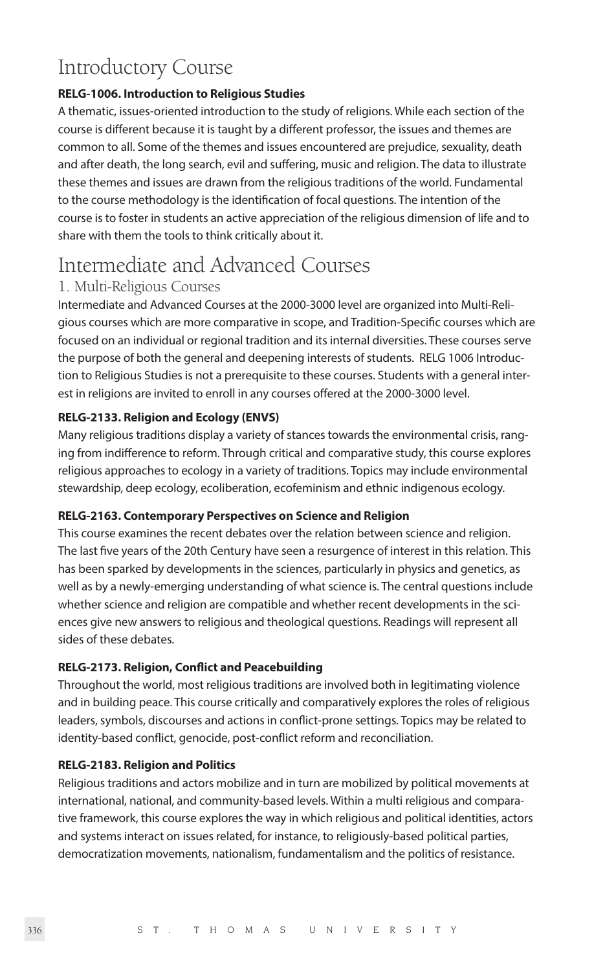# Introductory Course

### **RELG-1006. Introduction to Religious Studies**

A thematic, issues-oriented introduction to the study of religions. While each section of the course is different because it is taught by a different professor, the issues and themes are common to all. Some of the themes and issues encountered are prejudice, sexuality, death and after death, the long search, evil and suffering, music and religion. The data to illustrate these themes and issues are drawn from the religious traditions of the world. Fundamental to the course methodology is the identification of focal questions. The intention of the course is to foster in students an active appreciation of the religious dimension of life and to share with them the tools to think critically about it.

# Intermediate and Advanced Courses

# 1. Multi-Religious Courses

Intermediate and Advanced Courses at the 2000-3000 level are organized into Multi-Religious courses which are more comparative in scope, and Tradition-Specific courses which are focused on an individual or regional tradition and its internal diversities. These courses serve the purpose of both the general and deepening interests of students. RELG 1006 Introduction to Religious Studies is not a prerequisite to these courses. Students with a general interest in religions are invited to enroll in any courses offered at the 2000-3000 level.

# **RELG-2133. Religion and Ecology (ENVS)**

Many religious traditions display a variety of stances towards the environmental crisis, ranging from indifference to reform. Through critical and comparative study, this course explores religious approaches to ecology in a variety of traditions. Topics may include environmental stewardship, deep ecology, ecoliberation, ecofeminism and ethnic indigenous ecology.

#### **RELG-2163. Contemporary Perspectives on Science and Religion**

This course examines the recent debates over the relation between science and religion. The last five years of the 20th Century have seen a resurgence of interest in this relation. This has been sparked by developments in the sciences, particularly in physics and genetics, as well as by a newly-emerging understanding of what science is. The central questions include whether science and religion are compatible and whether recent developments in the sciences give new answers to religious and theological questions. Readings will represent all sides of these debates.

# **RELG-2173. Religion, Conflict and Peacebuilding**

Throughout the world, most religious traditions are involved both in legitimating violence and in building peace. This course critically and comparatively explores the roles of religious leaders, symbols, discourses and actions in conflict-prone settings. Topics may be related to identity-based conflict, genocide, post-conflict reform and reconciliation.

#### **RELG-2183. Religion and Politics**

Religious traditions and actors mobilize and in turn are mobilized by political movements at international, national, and community-based levels. Within a multi religious and comparative framework, this course explores the way in which religious and political identities, actors and systems interact on issues related, for instance, to religiously-based political parties, democratization movements, nationalism, fundamentalism and the politics of resistance.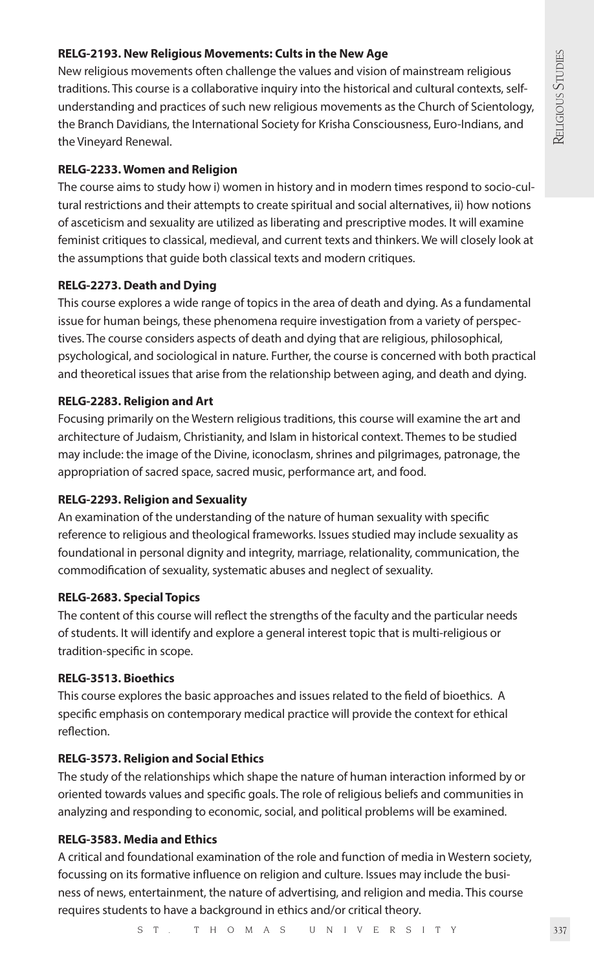### **RELG-2193. New Religious Movements: Cults in the New Age**

New religious movements often challenge the values and vision of mainstream religious traditions. This course is a collaborative inquiry into the historical and cultural contexts, selfunderstanding and practices of such new religious movements as the Church of Scientology, the Branch Davidians, the International Society for Krisha Consciousness, Euro-Indians, and the Vineyard Renewal.

#### **RELG-2233. Women and Religion**

The course aims to study how i) women in history and in modern times respond to socio-cultural restrictions and their attempts to create spiritual and social alternatives, ii) how notions of asceticism and sexuality are utilized as liberating and prescriptive modes. It will examine feminist critiques to classical, medieval, and current texts and thinkers. We will closely look at the assumptions that guide both classical texts and modern critiques.

#### **RELG-2273. Death and Dying**

This course explores a wide range of topics in the area of death and dying. As a fundamental issue for human beings, these phenomena require investigation from a variety of perspectives. The course considers aspects of death and dying that are religious, philosophical, psychological, and sociological in nature. Further, the course is concerned with both practical and theoretical issues that arise from the relationship between aging, and death and dying.

#### **RELG-2283. Religion and Art**

Focusing primarily on the Western religious traditions, this course will examine the art and architecture of Judaism, Christianity, and Islam in historical context. Themes to be studied may include: the image of the Divine, iconoclasm, shrines and pilgrimages, patronage, the appropriation of sacred space, sacred music, performance art, and food.

#### **RELG-2293. Religion and Sexuality**

An examination of the understanding of the nature of human sexuality with specific reference to religious and theological frameworks. Issues studied may include sexuality as foundational in personal dignity and integrity, marriage, relationality, communication, the commodification of sexuality, systematic abuses and neglect of sexuality.

#### **RELG-2683. Special Topics**

The content of this course will reflect the strengths of the faculty and the particular needs of students. It will identify and explore a general interest topic that is multi-religious or tradition-specific in scope.

#### **RELG-3513. Bioethics**

This course explores the basic approaches and issues related to the field of bioethics. A specific emphasis on contemporary medical practice will provide the context for ethical reflection.

#### **RELG-3573. Religion and Social Ethics**

The study of the relationships which shape the nature of human interaction informed by or oriented towards values and specific goals. The role of religious beliefs and communities in analyzing and responding to economic, social, and political problems will be examined.

#### **RELG-3583. Media and Ethics**

A critical and foundational examination of the role and function of media in Western society, focussing on its formative influence on religion and culture. Issues may include the business of news, entertainment, the nature of advertising, and religion and media. This course requires students to have a background in ethics and/or critical theory.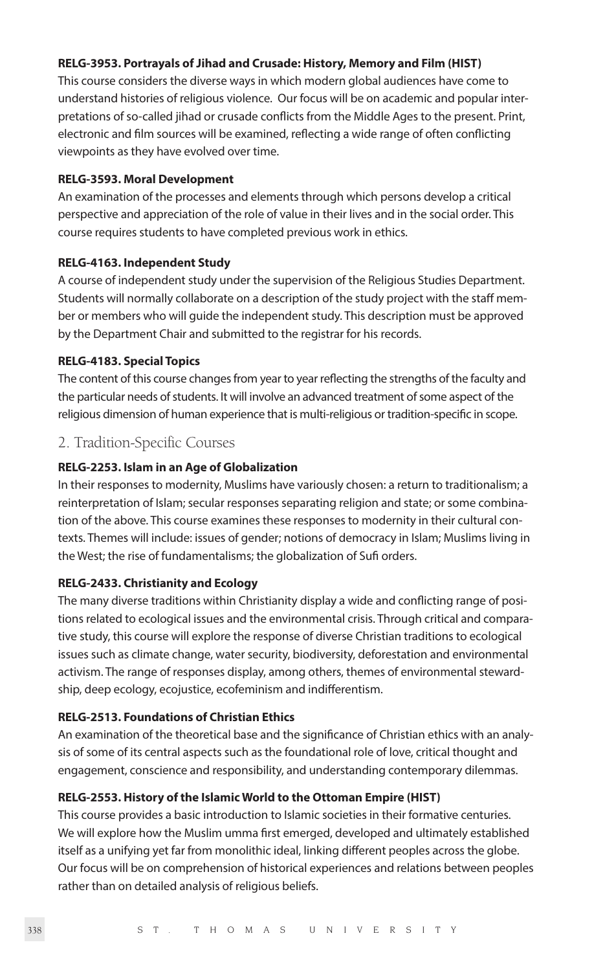#### **RELG-3953. Portrayals of Jihad and Crusade: History, Memory and Film (HIST)**

This course considers the diverse ways in which modern global audiences have come to understand histories of religious violence. Our focus will be on academic and popular interpretations of so-called jihad or crusade conflicts from the Middle Ages to the present. Print, electronic and film sources will be examined, reflecting a wide range of often conflicting viewpoints as they have evolved over time.

#### **RELG-3593. Moral Development**

An examination of the processes and elements through which persons develop a critical perspective and appreciation of the role of value in their lives and in the social order. This course requires students to have completed previous work in ethics.

#### **RELG-4163. Independent Study**

A course of independent study under the supervision of the Religious Studies Department. Students will normally collaborate on a description of the study project with the staff member or members who will guide the independent study. This description must be approved by the Department Chair and submitted to the registrar for his records.

#### **RELG-4183. Special Topics**

The content of this course changes from year to year reflecting the strengths of the faculty and the particular needs of students. It will involve an advanced treatment of some aspect of the religious dimension of human experience that is multi-religious or tradition-specific in scope.

# 2. Tradition-Specific Courses

#### **RELG-2253. Islam in an Age of Globalization**

In their responses to modernity, Muslims have variously chosen: a return to traditionalism; a reinterpretation of Islam; secular responses separating religion and state; or some combination of the above. This course examines these responses to modernity in their cultural contexts. Themes will include: issues of gender; notions of democracy in Islam; Muslims living in the West; the rise of fundamentalisms; the globalization of Sufi orders.

#### **RELG-2433. Christianity and Ecology**

The many diverse traditions within Christianity display a wide and conflicting range of positions related to ecological issues and the environmental crisis. Through critical and comparative study, this course will explore the response of diverse Christian traditions to ecological issues such as climate change, water security, biodiversity, deforestation and environmental activism. The range of responses display, among others, themes of environmental stewardship, deep ecology, ecojustice, ecofeminism and indifferentism.

# **RELG-2513. Foundations of Christian Ethics**

An examination of the theoretical base and the significance of Christian ethics with an analysis of some of its central aspects such as the foundational role of love, critical thought and engagement, conscience and responsibility, and understanding contemporary dilemmas.

#### **RELG-2553. History of the Islamic World to the Ottoman Empire (HIST)**

This course provides a basic introduction to Islamic societies in their formative centuries. We will explore how the Muslim umma first emerged, developed and ultimately established itself as a unifying yet far from monolithic ideal, linking different peoples across the globe. Our focus will be on comprehension of historical experiences and relations between peoples rather than on detailed analysis of religious beliefs.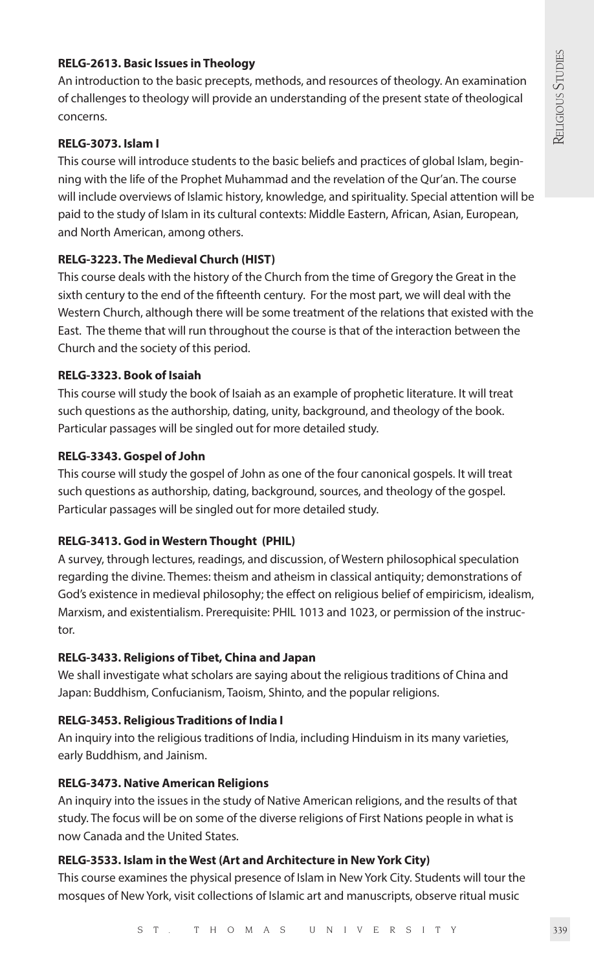#### **RELG-2613. Basic Issues in Theology**

An introduction to the basic precepts, methods, and resources of theology. An examination of challenges to theology will provide an understanding of the present state of theological concerns.

#### **RELG-3073. Islam I**

This course will introduce students to the basic beliefs and practices of global Islam, beginning with the life of the Prophet Muhammad and the revelation of the Qur'an. The course will include overviews of Islamic history, knowledge, and spirituality. Special attention will be paid to the study of Islam in its cultural contexts: Middle Eastern, African, Asian, European, and North American, among others.

### **RELG-3223. The Medieval Church (HIST)**

This course deals with the history of the Church from the time of Gregory the Great in the sixth century to the end of the fifteenth century. For the most part, we will deal with the Western Church, although there will be some treatment of the relations that existed with the East. The theme that will run throughout the course is that of the interaction between the Church and the society of this period.

#### **RELG-3323. Book of Isaiah**

This course will study the book of Isaiah as an example of prophetic literature. It will treat such questions as the authorship, dating, unity, background, and theology of the book. Particular passages will be singled out for more detailed study.

#### **RELG-3343. Gospel of John**

This course will study the gospel of John as one of the four canonical gospels. It will treat such questions as authorship, dating, background, sources, and theology of the gospel. Particular passages will be singled out for more detailed study.

#### **RELG-3413. God in Western Thought (PHIL)**

A survey, through lectures, readings, and discussion, of Western philosophical speculation regarding the divine. Themes: theism and atheism in classical antiquity; demonstrations of God's existence in medieval philosophy; the effect on religious belief of empiricism, idealism, Marxism, and existentialism. Prerequisite: PHIL 1013 and 1023, or permission of the instructor.

#### **RELG-3433. Religions of Tibet, China and Japan**

We shall investigate what scholars are saying about the religious traditions of China and Japan: Buddhism, Confucianism, Taoism, Shinto, and the popular religions.

# **RELG-3453. Religious Traditions of India I**

An inquiry into the religious traditions of India, including Hinduism in its many varieties, early Buddhism, and Jainism.

#### **RELG-3473. Native American Religions**

An inquiry into the issues in the study of Native American religions, and the results of that study. The focus will be on some of the diverse religions of First Nations people in what is now Canada and the United States.

# **RELG-3533. Islam in the West (Art and Architecture in New York City)**

This course examines the physical presence of Islam in New York City. Students will tour the mosques of New York, visit collections of Islamic art and manuscripts, observe ritual music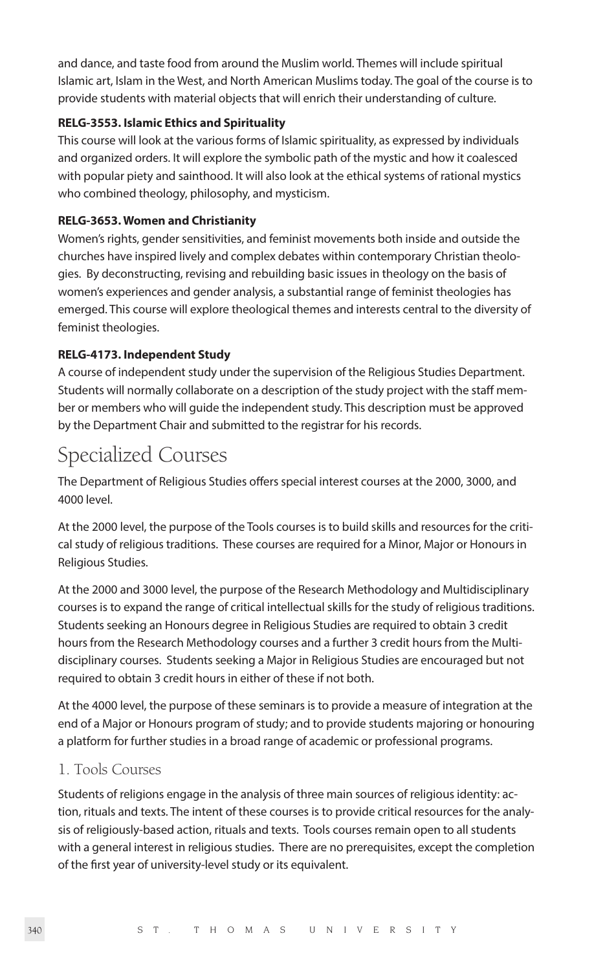and dance, and taste food from around the Muslim world. Themes will include spiritual Islamic art, Islam in the West, and North American Muslims today. The goal of the course is to provide students with material objects that will enrich their understanding of culture.

# **RELG-3553. Islamic Ethics and Spirituality**

This course will look at the various forms of Islamic spirituality, as expressed by individuals and organized orders. It will explore the symbolic path of the mystic and how it coalesced with popular piety and sainthood. It will also look at the ethical systems of rational mystics who combined theology, philosophy, and mysticism.

### **RELG-3653. Women and Christianity**

Women's rights, gender sensitivities, and feminist movements both inside and outside the churches have inspired lively and complex debates within contemporary Christian theologies. By deconstructing, revising and rebuilding basic issues in theology on the basis of women's experiences and gender analysis, a substantial range of feminist theologies has emerged. This course will explore theological themes and interests central to the diversity of feminist theologies.

### **RELG-4173. Independent Study**

A course of independent study under the supervision of the Religious Studies Department. Students will normally collaborate on a description of the study project with the staff member or members who will guide the independent study. This description must be approved by the Department Chair and submitted to the registrar for his records.

# Specialized Courses

The Department of Religious Studies offers special interest courses at the 2000, 3000, and 4000 level.

At the 2000 level, the purpose of the Tools courses is to build skills and resources for the critical study of religious traditions. These courses are required for a Minor, Major or Honours in Religious Studies.

At the 2000 and 3000 level, the purpose of the Research Methodology and Multidisciplinary courses is to expand the range of critical intellectual skills for the study of religious traditions. Students seeking an Honours degree in Religious Studies are required to obtain 3 credit hours from the Research Methodology courses and a further 3 credit hours from the Multidisciplinary courses. Students seeking a Major in Religious Studies are encouraged but not required to obtain 3 credit hours in either of these if not both.

At the 4000 level, the purpose of these seminars is to provide a measure of integration at the end of a Major or Honours program of study; and to provide students majoring or honouring a platform for further studies in a broad range of academic or professional programs.

# 1. Tools Courses

Students of religions engage in the analysis of three main sources of religious identity: action, rituals and texts. The intent of these courses is to provide critical resources for the analysis of religiously-based action, rituals and texts. Tools courses remain open to all students with a general interest in religious studies. There are no prerequisites, except the completion of the first year of university-level study or its equivalent.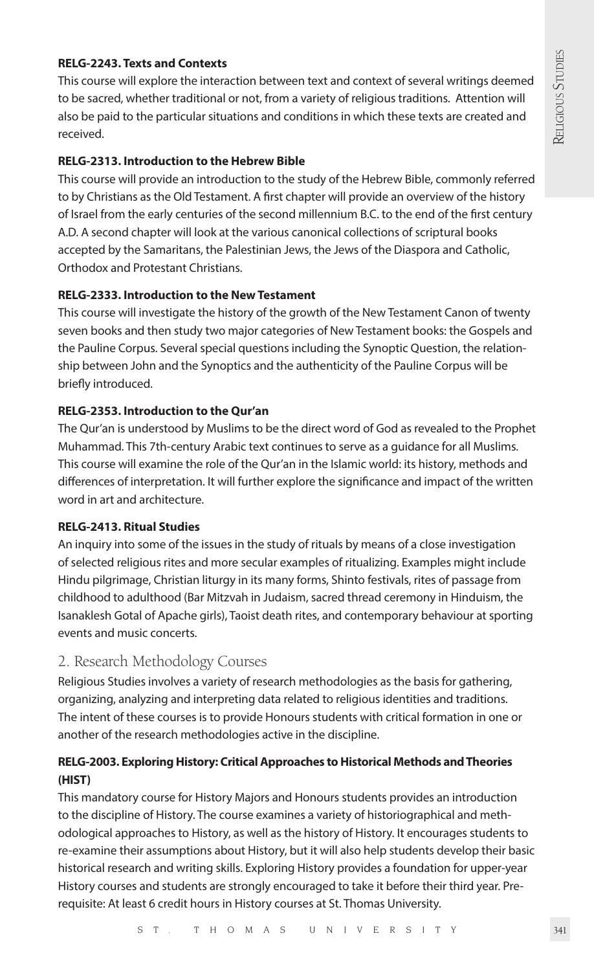# **RELG-2243. Texts and Contexts**

This course will explore the interaction between text and context of several writings deemed to be sacred, whether traditional or not, from a variety of religious traditions. Attention will also be paid to the particular situations and conditions in which these texts are created and received.

#### **RELG-2313. Introduction to the Hebrew Bible**

This course will provide an introduction to the study of the Hebrew Bible, commonly referred to by Christians as the Old Testament. A first chapter will provide an overview of the history of Israel from the early centuries of the second millennium B.C. to the end of the first century A.D. A second chapter will look at the various canonical collections of scriptural books accepted by the Samaritans, the Palestinian Jews, the Jews of the Diaspora and Catholic, Orthodox and Protestant Christians.

### **RELG-2333. Introduction to the New Testament**

This course will investigate the history of the growth of the New Testament Canon of twenty seven books and then study two major categories of New Testament books: the Gospels and the Pauline Corpus. Several special questions including the Synoptic Question, the relationship between John and the Synoptics and the authenticity of the Pauline Corpus will be briefly introduced.

#### **RELG-2353. Introduction to the Qur'an**

The Qur'an is understood by Muslims to be the direct word of God as revealed to the Prophet Muhammad. This 7th-century Arabic text continues to serve as a guidance for all Muslims. This course will examine the role of the Qur'an in the Islamic world: its history, methods and differences of interpretation. It will further explore the significance and impact of the written word in art and architecture.

### **RELG-2413. Ritual Studies**

An inquiry into some of the issues in the study of rituals by means of a close investigation of selected religious rites and more secular examples of ritualizing. Examples might include Hindu pilgrimage, Christian liturgy in its many forms, Shinto festivals, rites of passage from childhood to adulthood (Bar Mitzvah in Judaism, sacred thread ceremony in Hinduism, the Isanaklesh Gotal of Apache girls), Taoist death rites, and contemporary behaviour at sporting events and music concerts.

# 2. Research Methodology Courses

Religious Studies involves a variety of research methodologies as the basis for gathering, organizing, analyzing and interpreting data related to religious identities and traditions. The intent of these courses is to provide Honours students with critical formation in one or another of the research methodologies active in the discipline.

# **RELG-2003. Exploring History: Critical Approaches to Historical Methods and Theories (HIST)**

This mandatory course for History Majors and Honours students provides an introduction to the discipline of History. The course examines a variety of historiographical and methodological approaches to History, as well as the history of History. It encourages students to re-examine their assumptions about History, but it will also help students develop their basic historical research and writing skills. Exploring History provides a foundation for upper-year History courses and students are strongly encouraged to take it before their third year. Prerequisite: At least 6 credit hours in History courses at St. Thomas University.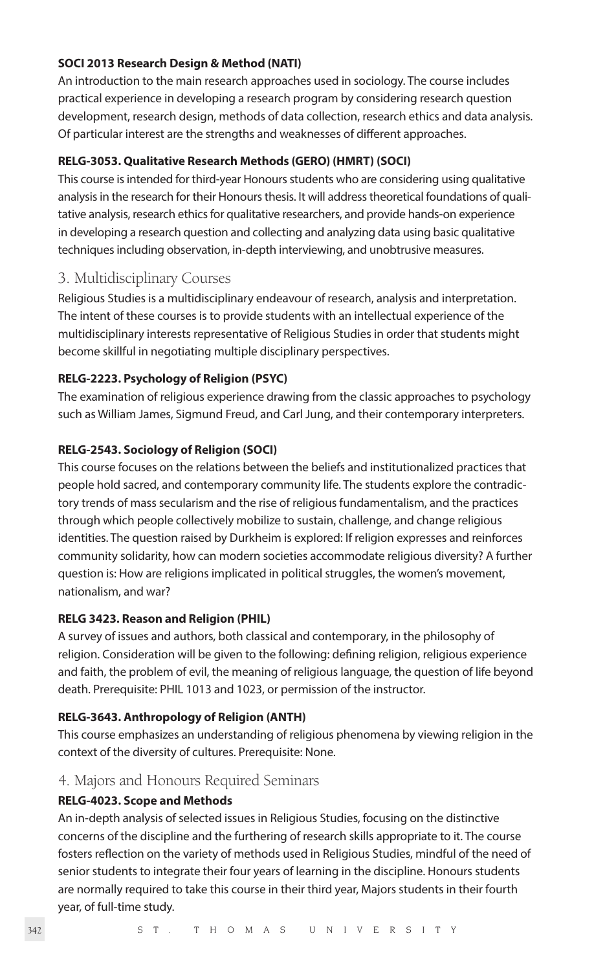#### **SOCI 2013 Research Design & Method (NATI)**

An introduction to the main research approaches used in sociology. The course includes practical experience in developing a research program by considering research question development, research design, methods of data collection, research ethics and data analysis. Of particular interest are the strengths and weaknesses of different approaches.

#### **RELG-3053. Qualitative Research Methods (GERO) (HMRT) (SOCI)**

This course is intended for third-year Honours students who are considering using qualitative analysis in the research for their Honours thesis. It will address theoretical foundations of qualitative analysis, research ethics for qualitative researchers, and provide hands-on experience in developing a research question and collecting and analyzing data using basic qualitative techniques including observation, in-depth interviewing, and unobtrusive measures.

# 3. Multidisciplinary Courses

Religious Studies is a multidisciplinary endeavour of research, analysis and interpretation. The intent of these courses is to provide students with an intellectual experience of the multidisciplinary interests representative of Religious Studies in order that students might become skillful in negotiating multiple disciplinary perspectives.

# **RELG-2223. Psychology of Religion (PSYC)**

The examination of religious experience drawing from the classic approaches to psychology such as William James, Sigmund Freud, and Carl Jung, and their contemporary interpreters.

### **RELG-2543. Sociology of Religion (SOCI)**

This course focuses on the relations between the beliefs and institutionalized practices that people hold sacred, and contemporary community life. The students explore the contradictory trends of mass secularism and the rise of religious fundamentalism, and the practices through which people collectively mobilize to sustain, challenge, and change religious identities. The question raised by Durkheim is explored: If religion expresses and reinforces community solidarity, how can modern societies accommodate religious diversity? A further question is: How are religions implicated in political struggles, the women's movement, nationalism, and war?

#### **RELG 3423. Reason and Religion (PHIL)**

A survey of issues and authors, both classical and contemporary, in the philosophy of religion. Consideration will be given to the following: defining religion, religious experience and faith, the problem of evil, the meaning of religious language, the question of life beyond death. Prerequisite: PHIL 1013 and 1023, or permission of the instructor.

### **RELG-3643. Anthropology of Religion (ANTH)**

This course emphasizes an understanding of religious phenomena by viewing religion in the context of the diversity of cultures. Prerequisite: None.

### 4. Majors and Honours Required Seminars

#### **RELG-4023. Scope and Methods**

An in-depth analysis of selected issues in Religious Studies, focusing on the distinctive concerns of the discipline and the furthering of research skills appropriate to it. The course fosters reflection on the variety of methods used in Religious Studies, mindful of the need of senior students to integrate their four years of learning in the discipline. Honours students are normally required to take this course in their third year, Majors students in their fourth year, of full-time study.